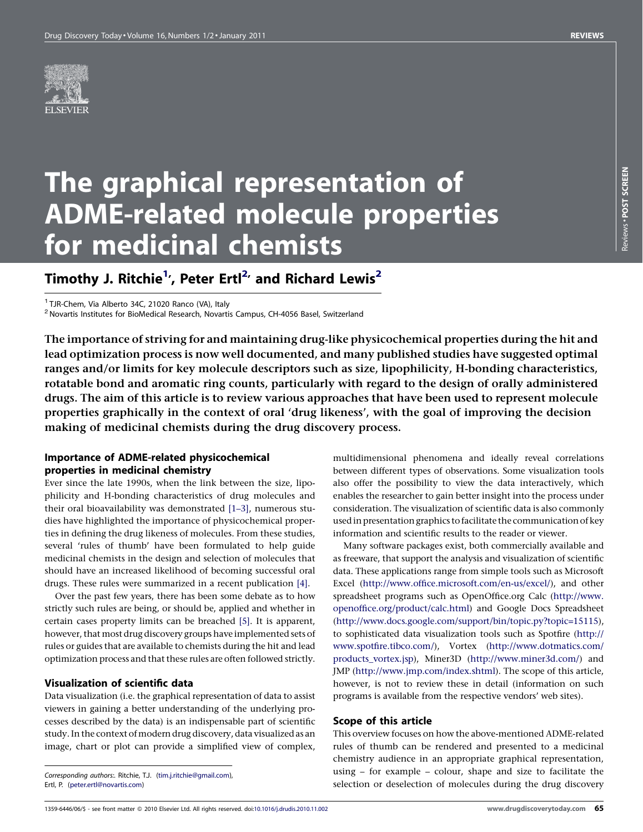

# The graphical representation of ADME-related molecule properties for medicinal chemists

# Timothy J. Ritchie $^{1}$ ', Peter Ertl $^{2}$ ' and Richard Lewis $^{2}$

<sup>1</sup> TJR-Chem, Via Alberto 34C, 21020 Ranco (VA), Italy

<sup>2</sup> Novartis Institutes for BioMedical Research, Novartis Campus, CH-4056 Basel, Switzerland

The importance of striving for and maintaining drug-like physicochemical properties during the hit and lead optimization process is now well documented, and many published studies have suggested optimal ranges and/or limits for key molecule descriptors such as size, lipophilicity, H-bonding characteristics, rotatable bond and aromatic ring counts, particularly with regard to the design of orally administered drugs. The aim of this article is to review various approaches that have been used to represent molecule properties graphically in the context of oral 'drug likeness', with the goal of improving the decision making of medicinal chemists during the drug discovery process.

# Importance of ADME-related physicochemical properties in medicinal chemistry

Ever since the late 1990s, when the link between the size, lipophilicity and H-bonding characteristics of drug molecules and their oral bioavailability was demonstrated [\[1–3\]](#page-7-0), numerous studies have highlighted the importance of physicochemical properties in defining the drug likeness of molecules. From these studies, several 'rules of thumb' have been formulated to help guide medicinal chemists in the design and selection of molecules that should have an increased likelihood of becoming successful oral drugs. These rules were summarized in a recent publication [\[4\]](#page-7-0).

Over the past few years, there has been some debate as to how strictly such rules are being, or should be, applied and whether in certain cases property limits can be breached [\[5\]](#page-7-0). It is apparent, however, that most drug discovery groups have implemented sets of rules or guides that are available to chemists during the hit and lead optimization process and that these rules are often followed strictly.

# Visualization of scientific data

Data visualization (i.e. the graphical representation of data to assist viewers in gaining a better understanding of the underlying processes described by the data) is an indispensable part of scientific study. In the context of modern drug discovery, data visualizedas an image, chart or plot can provide a simplified view of complex,

multidimensional phenomena and ideally reveal correlations between different types of observations. Some visualization tools also offer the possibility to view the data interactively, which enables the researcher to gain better insight into the process under consideration. The visualization of scientific data is also commonly used in presentation graphics to facilitate the communication of key information and scientific results to the reader or viewer.

Many software packages exist, both commercially available and as freeware, that support the analysis and visualization of scientific data. These applications range from simple tools such as Microsoft Excel (<http://www.office.microsoft.com/en-us/excel/>), and other spreadsheet programs such as OpenOffice.org Calc [\(http://www.](http://www.openoffice.org/product/calc.html) [openoffice.org/product/calc.html](http://www.openoffice.org/product/calc.html)) and Google Docs Spreadsheet [\(http://www.docs.google.com/support/bin/topic.py?topic=15115](http://docs.google.com/support/bin/topic.py?topic=15115)), to sophisticated data visualization tools such as Spotfire ([http://](http://www.spotfire.tibco.com/) [www.spotfire.tibco.com/\)](http://www.spotfire.tibco.com/), Vortex [\(http://www.dotmatics.com/](http://www.dotmatics.com/products_vortex.jsp) [products\\_vortex.jsp\)](http://www.dotmatics.com/products_vortex.jsp), Miner3D [\(http://www.miner3d.com/](http://www.miner3d.com/)) and JMP (<http://www.jmp.com/index.shtml>). The scope of this article, however, is not to review these in detail (information on such programs is available from the respective vendors' web sites).

#### Scope of this article

This overview focuses on how the above-mentioned ADME-related rules of thumb can be rendered and presented to a medicinal chemistry audience in an appropriate graphical representation, using – for example – colour, shape and size to facilitate the selection or deselection of molecules during the drug discovery

Corresponding authors:. Ritchie, T.J. ([tim.j.ritchie@gmail.com\)](mailto:tim.j.ritchie@gmail.com), Ertl, P. ([peter.ertl@novartis.com](mailto:peter.ertl@novartis.com))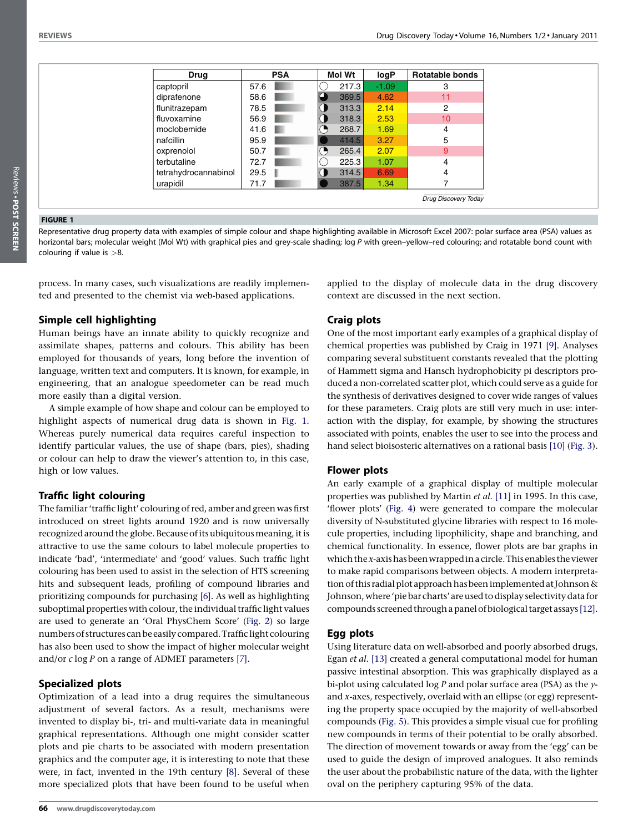| Drug                 | <b>PSA</b> | Mol Wt | logP    | <b>Rotatable bonds</b> |  |
|----------------------|------------|--------|---------|------------------------|--|
| captopril            | 57.6       | 217.3  | $-1.09$ | 3                      |  |
| diprafenone          | 58.6       | 369.5  | 4.62    | 11                     |  |
| flunitrazepam        | 78.5       | 313.3  | 2.14    | 2                      |  |
| fluvoxamine          | 56.9       | 318.3  | 2.53    | 10 <sup>1</sup>        |  |
| moclobemide          | 41.6<br>٠  | 268.7  | 1.69    | 4                      |  |
| nafcillin            | 95.9       | 414.5  | 3.27    | 5                      |  |
| oxprenolol           | 50.7       | 265.4  | 2.07    | 9                      |  |
| terbutaline          | 72.7       | 225.3  | 1.07    | 4                      |  |
| tetrahydrocannabinol | 29.5       | 314.5  | 6.69    | 4                      |  |
| urapidil             | 71.7       | 387.5  | 1.34    |                        |  |
|                      |            |        |         | Drug Discovery Today   |  |

Representative drug property data with examples of simple colour and shape highlighting available in Microsoft Excel 2007: polar surface area (PSA) values as horizontal bars; molecular weight (Mol Wt) with graphical pies and grey-scale shading; log P with green-yellow-red colouring; and rotatable bond count with colouring if value is  $>8$ .

process. In many cases, such visualizations are readily implemented and presented to the chemist via web-based applications.

#### Simple cell highlighting

Human beings have an innate ability to quickly recognize and assimilate shapes, patterns and colours. This ability has been employed for thousands of years, long before the invention of language, written text and computers. It is known, for example, in engineering, that an analogue speedometer can be read much more easily than a digital version.

A simple example of how shape and colour can be employed to highlight aspects of numerical drug data is shown in Fig. 1. Whereas purely numerical data requires careful inspection to identify particular values, the use of shape (bars, pies), shading or colour can help to draw the viewer's attention to, in this case, high or low values.

#### Traffic light colouring

The familiar 'traffic light' colouring of red, amber and green was first introduced on street lights around 1920 and is now universally recognized around the globe. Because of its ubiquitous meaning, it is attractive to use the same colours to label molecule properties to indicate 'bad', 'intermediate' and 'good' values. Such traffic light colouring has been used to assist in the selection of HTS screening hits and subsequent leads, profiling of compound libraries and prioritizing compounds for purchasing [\[6\].](#page-7-0) As well as highlighting suboptimal properties with colour, the individual traffic light values are used to generate an 'Oral PhysChem Score' ([Fig. 2](#page-2-0)) so large numbers of structures can be easily compared. Traffic light colouring has also been used to show the impact of higher molecular weight and/or  $c \log P$  on a range of ADMET parameters [\[7\].](#page-7-0)

#### Specialized plots

Optimization of a lead into a drug requires the simultaneous adjustment of several factors. As a result, mechanisms were invented to display bi-, tri- and multi-variate data in meaningful graphical representations. Although one might consider scatter plots and pie charts to be associated with modern presentation graphics and the computer age, it is interesting to note that these were, in fact, invented in the 19th century [\[8\].](#page-7-0) Several of these more specialized plots that have been found to be useful when

applied to the display of molecule data in the drug discovery context are discussed in the next section.

#### Craig plots

One of the most important early examples of a graphical display of chemical properties was published by Craig in 1971 [\[9\].](#page-7-0) Analyses comparing several substituent constants revealed that the plotting of Hammett sigma and Hansch hydrophobicity pi descriptors produced a non-correlated scatter plot, which could serve as a guide for the synthesis of derivatives designed to cover wide ranges of values for these parameters. Craig plots are still very much in use: interaction with the display, for example, by showing the structures associated with points, enables the user to see into the process and hand select bioisosteric alternatives on a rational basis [\[10\]](#page-7-0) ([Fig. 3](#page-2-0)).

#### Flower plots

An early example of a graphical display of multiple molecular properties was published by Martin et al. [\[11\]](#page-7-0) in 1995. In this case, 'flower plots' ([Fig. 4](#page-3-0)) were generated to compare the molecular diversity of N-substituted glycine libraries with respect to 16 molecule properties, including lipophilicity, shape and branching, and chemical functionality. In essence, flower plots are bar graphs in which the x-axis has been wrapped in a circle. This enables the viewer to make rapid comparisons between objects. A modern interpretation of this radial plot approach has been implemented at Johnson & Johnson,where 'piebarcharts'areused to display selectivitydata for compounds screened through a panel of biological target assays [\[12\]](#page-7-0).

#### Egg plots

Using literature data on well-absorbed and poorly absorbed drugs, Egan et al. [\[13\]](#page-7-0) created a general computational model for human passive intestinal absorption. This was graphically displayed as a bi-plot using calculated log  $P$  and polar surface area (PSA) as the  $y$ and x-axes, respectively, overlaid with an ellipse (or egg) representing the property space occupied by the majority of well-absorbed compounds ([Fig. 5\)](#page-3-0). This provides a simple visual cue for profiling new compounds in terms of their potential to be orally absorbed. The direction of movement towards or away from the 'egg' can be used to guide the design of improved analogues. It also reminds the user about the probabilistic nature of the data, with the lighter oval on the periphery capturing 95% of the data.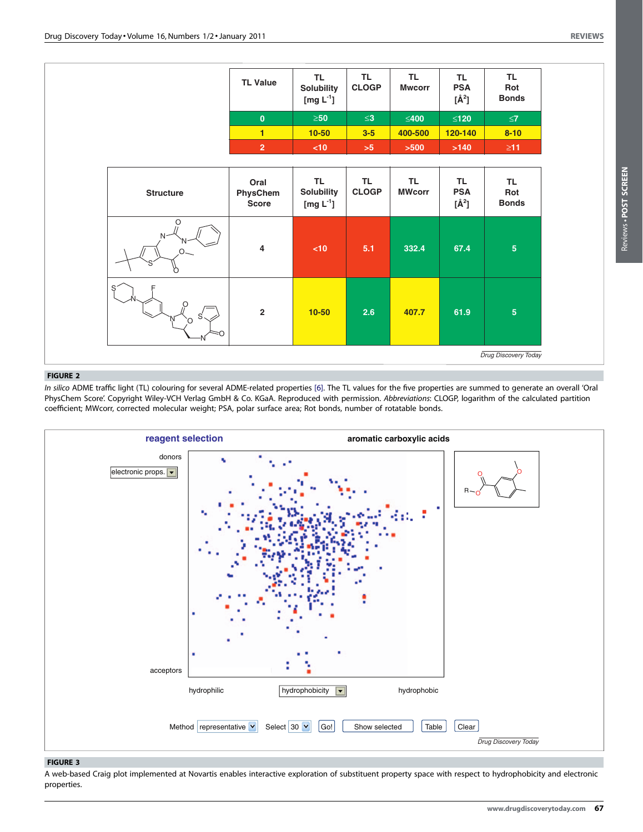<span id="page-2-0"></span>

|                                  | <b>TL Value</b>                  | TL.<br>Solubility<br>[mg $L^{-1}$ ] | <b>TL</b><br><b>CLOGP</b> | TL.<br><b>Mwcorr</b>       | TL.<br><b>PSA</b><br>$[\mathring{\mathsf{A}}^2]$ | <b>TL</b><br>Rot<br><b>Bonds</b> |  |  |  |
|----------------------------------|----------------------------------|-------------------------------------|---------------------------|----------------------------|--------------------------------------------------|----------------------------------|--|--|--|
|                                  | $\pmb{0}$                        | $\geq 50$                           | $\leq$ 3                  | ≤400                       | $≤120$                                           | $\leq 7$                         |  |  |  |
|                                  | $\overline{1}$                   | $10 - 50$                           | $3 - 5$                   | 400-500                    | 120-140                                          | $8 - 10$                         |  |  |  |
|                                  | $\overline{2}$                   | <10                                 | $>5$                      | $>500$                     | $>140$                                           | $\geq 11$                        |  |  |  |
|                                  |                                  |                                     |                           |                            |                                                  |                                  |  |  |  |
| <b>Structure</b>                 | Oral<br>PhysChem<br><b>Score</b> | TL.<br>Solubility<br>[mg $L^{-1}$ ] | TL.<br><b>CLOGP</b>       | <b>TL</b><br><b>MWcorr</b> | TL.<br><b>PSA</b><br>$[\AA^2]$                   | <b>TL</b><br>Rot<br><b>Bonds</b> |  |  |  |
| $\overline{C}$<br>N <sub>2</sub> | $\overline{\mathbf{4}}$          | <10                                 | 5.1                       | 332.4                      | 67.4                                             | $\overline{5}$                   |  |  |  |
| S<br>s'<br>്റ<br>۰N              | $\overline{\mathbf{2}}$          | $10 - 50$                           | 2.6                       | 407.7                      | 61.9                                             | $\overline{5}$                   |  |  |  |
|                                  | <b>Drug Discovery Today</b>      |                                     |                           |                            |                                                  |                                  |  |  |  |

In silico ADME traffic light (TL) colouring for several ADME-related properties [\[6\]](#page-7-0). The TL values for the five properties are summed to generate an overall 'Oral PhysChem Score'. Copyright Wiley-VCH Verlag GmbH & Co. KGaA. Reproduced with permission. Abbreviations: CLOGP, logarithm of the calculated partition coefficient; MWcorr, corrected molecular weight; PSA, polar surface area; Rot bonds, number of rotatable bonds.



#### FIGURE 3

A web-based Craig plot implemented at Novartis enables interactive exploration of substituent property space with respect to hydrophobicity and electronic properties.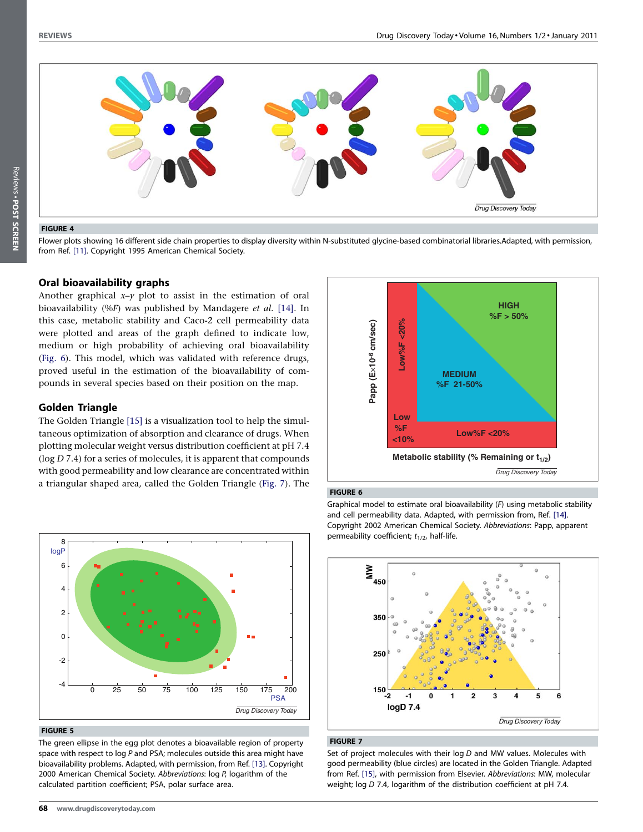<span id="page-3-0"></span>

Flower plots showing 16 different side chain properties to display diversity within N-substituted glycine-based combinatorial libraries.Adapted, with permission, from Ref. [\[11\]](#page-7-0). Copyright 1995 American Chemical Society.

# Oral bioavailability graphs

Another graphical  $x-y$  plot to assist in the estimation of oral bioavailability (%F) was published by Mandagere et al. [\[14\].](#page-7-0) In this case, metabolic stability and Caco-2 cell permeability data were plotted and areas of the graph defined to indicate low, medium or high probability of achieving oral bioavailability (Fig. 6). This model, which was validated with reference drugs, proved useful in the estimation of the bioavailability of compounds in several species based on their position on the map.

#### Golden Triangle

The Golden Triangle [\[15\]](#page-7-0) is a visualization tool to help the simultaneous optimization of absorption and clearance of drugs. When plotting molecular weight versus distribution coefficient at pH 7.4 ( $log D 7.4$ ) for a series of molecules, it is apparent that compounds with good permeability and low clearance are concentrated within a triangular shaped area, called the Golden Triangle (Fig. 7). The



#### FIGURE 5

The green ellipse in the egg plot denotes a bioavailable region of property space with respect to log P and PSA; molecules outside this area might have bioavailability problems. Adapted, with permission, from Ref. [\[13\].](#page-7-0) Copyright 2000 American Chemical Society. Abbreviations: log P, logarithm of the calculated partition coefficient; PSA, polar surface area.



# FIGURE 6

Graphical model to estimate oral bioavailability (F) using metabolic stability and cell permeability data. Adapted, with permission from, Ref. [\[14\].](#page-7-0) Copyright 2002 American Chemical Society. Abbreviations: Papp, apparent permeability coefficient;  $t_{1/2}$ , half-life.



#### FIGURE 7

Set of project molecules with their log D and MW values. Molecules with good permeability (blue circles) are located in the Golden Triangle. Adapted from Ref. [\[15\]](#page-7-0), with permission from Elsevier. Abbreviations: MW, molecular weight; log D 7.4, logarithm of the distribution coefficient at pH 7.4.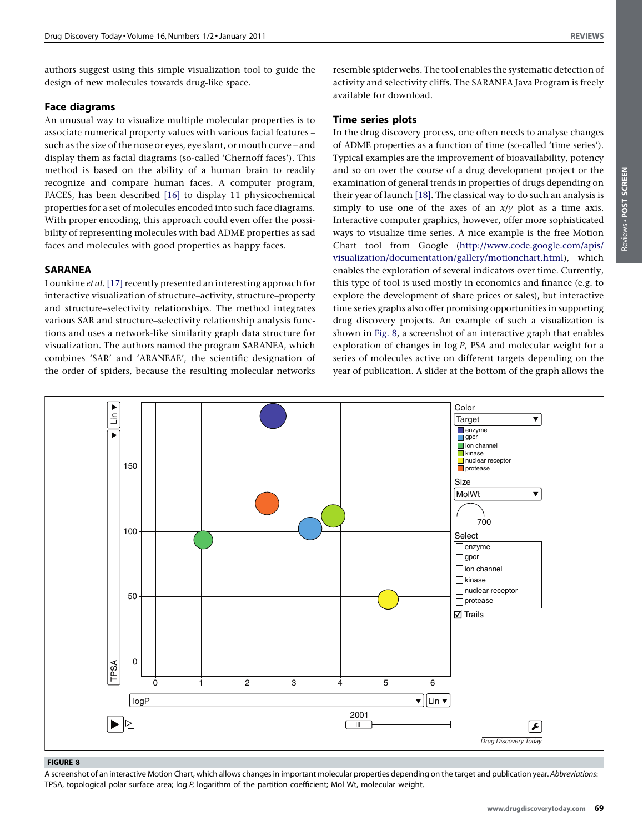authors suggest using this simple visualization tool to guide the design of new molecules towards drug-like space.

#### Face diagrams

An unusual way to visualize multiple molecular properties is to associate numerical property values with various facial features – such as the size of the nose or eyes, eye slant, or mouth curve – and display them as facial diagrams (so-called 'Chernoff faces'). This method is based on the ability of a human brain to readily recognize and compare human faces. A computer program, FACES, has been described [\[16\]](#page-7-0) to display 11 physicochemical properties for a set of molecules encoded into such face diagrams. With proper encoding, this approach could even offer the possibility of representing molecules with bad ADME properties as sad faces and molecules with good properties as happy faces.

# **SARANEA**

Lounkine  $et al.$  [\[17\]](#page-7-0) recently presented an interesting approach for interactive visualization of structure–activity, structure–property and structure–selectivity relationships. The method integrates various SAR and structure–selectivity relationship analysis functions and uses a network-like similarity graph data structure for visualization. The authors named the program SARANEA, which combines 'SAR' and 'ARANEAE', the scientific designation of the order of spiders, because the resulting molecular networks resemble spider webs. The tool enables the systematic detection of activity and selectivity cliffs. The SARANEA Java Program is freely available for download.

# Time series plots

In the drug discovery process, one often needs to analyse changes of ADME properties as a function of time (so-called 'time series'). Typical examples are the improvement of bioavailability, potency and so on over the course of a drug development project or the examination of general trends in properties of drugs depending on their year of launch [\[18\].](#page-7-0) The classical way to do such an analysis is simply to use one of the axes of an  $x/y$  plot as a time axis. Interactive computer graphics, however, offer more sophisticated ways to visualize time series. A nice example is the free Motion Chart tool from Google ([http://www.code.google.com/apis/](http://code.google.com/apis/visualization/documentation/gallery/motionchart.html) [visualization/documentation/gallery/motionchart.html\)](http://code.google.com/apis/visualization/documentation/gallery/motionchart.html), which enables the exploration of several indicators over time. Currently, this type of tool is used mostly in economics and finance (e.g. to explore the development of share prices or sales), but interactive time series graphs also offer promising opportunities in supporting drug discovery projects. An example of such a visualization is shown in Fig. 8, a screenshot of an interactive graph that enables exploration of changes in  $log P$ , PSA and molecular weight for a series of molecules active on different targets depending on the year of publication. A slider at the bottom of the graph allows the



#### FIGURE 8

A screenshot of an interactive Motion Chart, which allows changes in important molecular properties depending on the target and publication year. Abbreviations: TPSA, topological polar surface area;  $log P$ , logarithm of the partition coefficient; Mol Wt, molecular weight.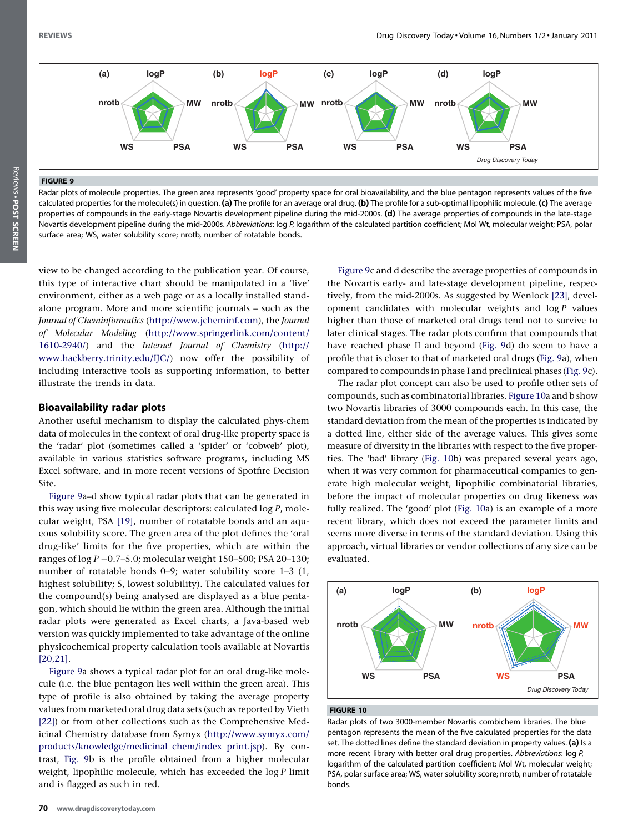

Reviews - POST SCREEN

Radar plots of molecule properties. The green area represents 'good' property space for oral bioavailability, and the blue pentagon represents values of the five calculated properties for the molecule(s) in question. (a) The profile for an average oral drug. (b) The profile for a sub-optimal lipophilic molecule. (c) The average properties of compounds in the early-stage Novartis development pipeline during the mid-2000s. (d) The average properties of compounds in the late-stage Novartis development pipeline during the mid-2000s. Abbreviations: log P, logarithm of the calculated partition coefficient; Mol Wt, molecular weight; PSA, polar surface area; WS, water solubility score; nrotb, number of rotatable bonds.

view to be changed according to the publication year. Of course, this type of interactive chart should be manipulated in a 'live' environment, either as a web page or as a locally installed standalone program. More and more scientific journals – such as the Journal of Cheminformatics [\(http://www.jcheminf.com](http://www.jcheminf.com/)), the Journal of Molecular Modeling [\(http://www.springerlink.com/content/](http://www.springerlink.com/content/1610-2940/) [1610-2940/\)](http://www.springerlink.com/content/1610-2940/) and the Internet Journal of Chemistry ([http://](http://www.hackberry.trinity.edu/IJC/) [www.hackberry.trinity.edu/IJC/\)](http://www.hackberry.trinity.edu/IJC/) now offer the possibility of including interactive tools as supporting information, to better illustrate the trends in data.

#### Bioavailability radar plots

Another useful mechanism to display the calculated phys-chem data of molecules in the context of oral drug-like property space is the 'radar' plot (sometimes called a 'spider' or 'cobweb' plot), available in various statistics software programs, including MS Excel software, and in more recent versions of Spotfire Decision Site.

Figure 9a–d show typical radar plots that can be generated in this way using five molecular descriptors: calculated log P, molecular weight, PSA [\[19\]](#page-7-0), number of rotatable bonds and an aqueous solubility score. The green area of the plot defines the 'oral drug-like' limits for the five properties, which are within the ranges of  $log P - 0.7-5.0$ ; molecular weight 150-500; PSA 20-130; number of rotatable bonds 0–9; water solubility score 1–3 (1, highest solubility; 5, lowest solubility). The calculated values for the compound(s) being analysed are displayed as a blue pentagon, which should lie within the green area. Although the initial radar plots were generated as Excel charts, a Java-based web version was quickly implemented to take advantage of the online physicochemical property calculation tools available at Novartis [\[20,21\]](#page-7-0).

Figure 9a shows a typical radar plot for an oral drug-like molecule (i.e. the blue pentagon lies well within the green area). This type of profile is also obtained by taking the average property values from marketed oral drug data sets (such as reported by Vieth [\[22\]](#page-7-0)) or from other collections such as the Comprehensive Medicinal Chemistry database from Symyx ([http://www.symyx.com/](http://www.symyx.com/products/knowledge/medicinal_chem/index_print.jsp) [products/knowledge/medicinal\\_chem/index\\_print.jsp\)](http://www.symyx.com/products/knowledge/medicinal_chem/index_print.jsp). By contrast, Fig. 9b is the profile obtained from a higher molecular weight, lipophilic molecule, which has exceeded the  $log P$  limit and is flagged as such in red.

Figure 9c and d describe the average properties of compounds in the Novartis early- and late-stage development pipeline, respectively, from the mid-2000s. As suggested by Wenlock [\[23\],](#page-7-0) development candidates with molecular weights and  $log P$  values higher than those of marketed oral drugs tend not to survive to later clinical stages. The radar plots confirm that compounds that have reached phase II and beyond (Fig. 9d) do seem to have a profile that is closer to that of marketed oral drugs (Fig. 9a), when compared to compounds in phase I and preclinical phases (Fig. 9c).

The radar plot concept can also be used to profile other sets of compounds, such as combinatorial libraries. Figure 10a and b show two Novartis libraries of 3000 compounds each. In this case, the standard deviation from the mean of the properties is indicated by a dotted line, either side of the average values. This gives some measure of diversity in the libraries with respect to the five properties. The 'bad' library (Fig. 10b) was prepared several years ago, when it was very common for pharmaceutical companies to generate high molecular weight, lipophilic combinatorial libraries, before the impact of molecular properties on drug likeness was fully realized. The 'good' plot (Fig. 10a) is an example of a more recent library, which does not exceed the parameter limits and seems more diverse in terms of the standard deviation. Using this approach, virtual libraries or vendor collections of any size can be evaluated.



#### FIGURE 10

Radar plots of two 3000-member Novartis combichem libraries. The blue pentagon represents the mean of the five calculated properties for the data set. The dotted lines define the standard deviation in property values. (a) Is a more recent library with better oral drug properties. Abbreviations: log P, logarithm of the calculated partition coefficient; Mol Wt, molecular weight; PSA, polar surface area; WS, water solubility score; nrotb, number of rotatable bonds.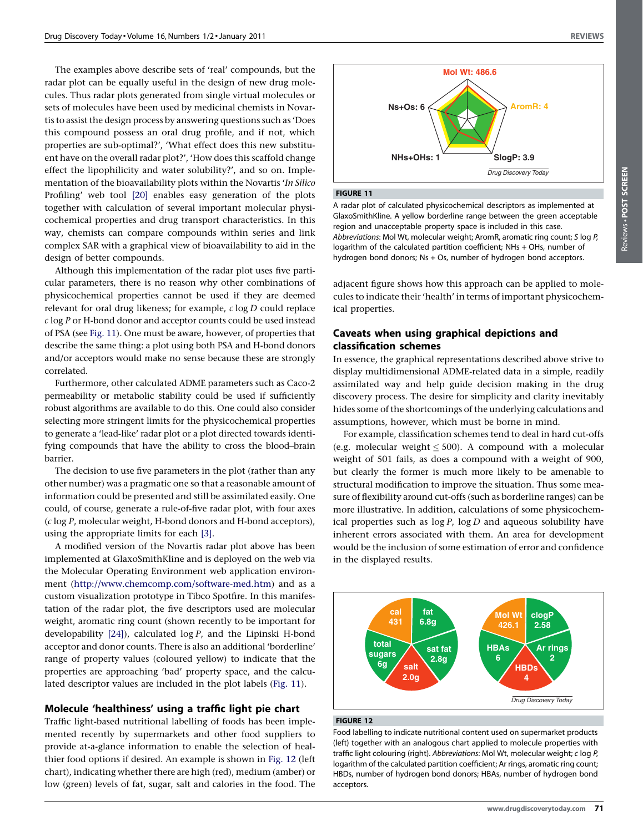The examples above describe sets of 'real' compounds, but the radar plot can be equally useful in the design of new drug molecules. Thus radar plots generated from single virtual molecules or sets of molecules have been used by medicinal chemists in Novartis to assist the design process by answering questions such as 'Does this compound possess an oral drug profile, and if not, which properties are sub-optimal?', 'What effect does this new substituent have on the overall radar plot?', 'How does this scaffold change effect the lipophilicity and water solubility?', and so on. Implementation of the bioavailability plots within the Novartis 'In Silico Profiling' web tool [\[20\]](#page-7-0) enables easy generation of the plots together with calculation of several important molecular physicochemical properties and drug transport characteristics. In this way, chemists can compare compounds within series and link complex SAR with a graphical view of bioavailability to aid in the design of better compounds.

Although this implementation of the radar plot uses five particular parameters, there is no reason why other combinations of physicochemical properties cannot be used if they are deemed relevant for oral drug likeness; for example, c log D could replace  $c \log P$  or H-bond donor and acceptor counts could be used instead of PSA (see Fig. 11). One must be aware, however, of properties that describe the same thing: a plot using both PSA and H-bond donors and/or acceptors would make no sense because these are strongly correlated.

Furthermore, other calculated ADME parameters such as Caco-2 permeability or metabolic stability could be used if sufficiently robust algorithms are available to do this. One could also consider selecting more stringent limits for the physicochemical properties to generate a 'lead-like' radar plot or a plot directed towards identifying compounds that have the ability to cross the blood–brain barrier.

The decision to use five parameters in the plot (rather than any other number) was a pragmatic one so that a reasonable amount of information could be presented and still be assimilated easily. One could, of course, generate a rule-of-five radar plot, with four axes (c log P, molecular weight, H-bond donors and H-bond acceptors), using the appropriate limits for each [\[3\]](#page-7-0).

A modified version of the Novartis radar plot above has been implemented at GlaxoSmithKline and is deployed on the web via the Molecular Operating Environment web application environment [\(http://www.chemcomp.com/software-med.htm\)](http://www.chemcomp.com/software-med.htm) and as a custom visualization prototype in Tibco Spotfire. In this manifestation of the radar plot, the five descriptors used are molecular weight, aromatic ring count (shown recently to be important for developability  $[24]$ ), calculated  $\log P$ , and the Lipinski H-bond acceptor and donor counts. There is also an additional 'borderline' range of property values (coloured yellow) to indicate that the properties are approaching 'bad' property space, and the calculated descriptor values are included in the plot labels (Fig. 11).

#### Molecule 'healthiness' using a traffic light pie chart

Traffic light-based nutritional labelling of foods has been implemented recently by supermarkets and other food suppliers to provide at-a-glance information to enable the selection of healthier food options if desired. An example is shown in Fig. 12 (left chart), indicating whether there are high (red), medium (amber) or low (green) levels of fat, sugar, salt and calories in the food. The



#### FIGURE 11

A radar plot of calculated physicochemical descriptors as implemented at GlaxoSmithKline. A yellow borderline range between the green acceptable region and unacceptable property space is included in this case. Abbreviations: Mol Wt, molecular weight; AromR, aromatic ring count; S log P, logarithm of the calculated partition coefficient; NHs + OHs, number of hydrogen bond donors; Ns + Os, number of hydrogen bond acceptors.

adjacent figure shows how this approach can be applied to molecules to indicate their 'health' in terms of important physicochemical properties.

### Caveats when using graphical depictions and classification schemes

In essence, the graphical representations described above strive to display multidimensional ADME-related data in a simple, readily assimilated way and help guide decision making in the drug discovery process. The desire for simplicity and clarity inevitably hides some of the shortcomings of the underlying calculations and assumptions, however, which must be borne in mind.

For example, classification schemes tend to deal in hard cut-offs (e.g. molecular weight  $\leq$  500). A compound with a molecular weight of 501 fails, as does a compound with a weight of 900, but clearly the former is much more likely to be amenable to structural modification to improve the situation. Thus some measure of flexibility around cut-offs (such as borderline ranges) can be more illustrative. In addition, calculations of some physicochemical properties such as  $\log P$ ,  $\log D$  and aqueous solubility have inherent errors associated with them. An area for development would be the inclusion of some estimation of error and confidence in the displayed results.



#### FIGURE 12

Food labelling to indicate nutritional content used on supermarket products (left) together with an analogous chart applied to molecule properties with traffic light colouring (right). Abbreviations: Mol Wt, molecular weight; c log P, logarithm of the calculated partition coefficient; Ar rings, aromatic ring count; HBDs, number of hydrogen bond donors; HBAs, number of hydrogen bond acceptors.